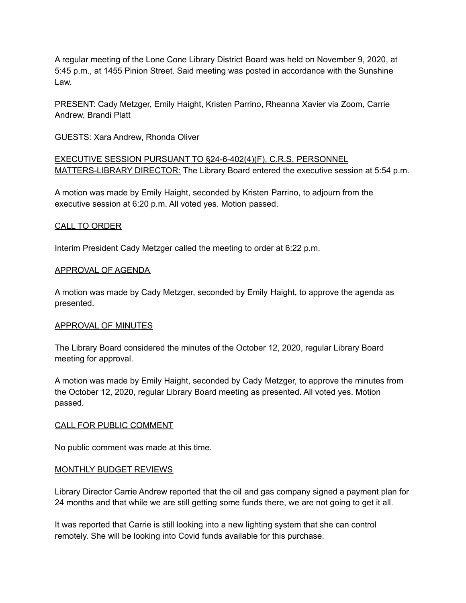A regular meeting of the Lone Cone Library District Board was held on November 9, 2020, at 5:45 p.m., at 1455 Pinion Street. Said meeting was posted in accordance with the Sunshine Law.

PRESENT: Cady Metzger, Emily Haight, Kristen Parrino, Rheanna Xavier via Zoom, Carrie Andrew, Brandi Platt

GUESTS: Xara Andrew, Rhonda Oliver

EXECUTIVE SESSION PURSUANT TO §24-6-402(4)(F), C.R.S, PERSONNEL MATTERS-LIBRARY DIRECTOR: The Library Board entered the executive session at 5:54 p.m.

A motion was made by Emily Haight, seconded by Kristen Parrino, to adjourn from the executive session at 6:20 p.m. All voted yes. Motion passed.

## CALL TO ORDER

Interim President Cady Metzger called the meeting to order at 6:22 p.m.

## APPROVAL OF AGENDA

A motion was made by Cady Metzger, seconded by Emily Haight, to approve the agenda as presented.

## APPROVAL OF MINUTES

The Library Board considered the minutes of the October 12, 2020, regular Library Board meeting for approval.

A motion was made by Emily Haight, seconded by Cady Metzger, to approve the minutes from the October 12, 2020, regular Library Board meeting as presented. All voted yes. Motion passed.

## CALL FOR PUBLIC COMMENT

No public comment was made at this time.

## MONTHLY BUDGET REVIEWS

Library Director Carrie Andrew reported that the oil and gas company signed a payment plan for 24 months and that while we are still getting some funds there, we are not going to get it all.

It was reported that Carrie is still looking into a new lighting system that she can control remotely. She will be looking into Covid funds available for this purchase.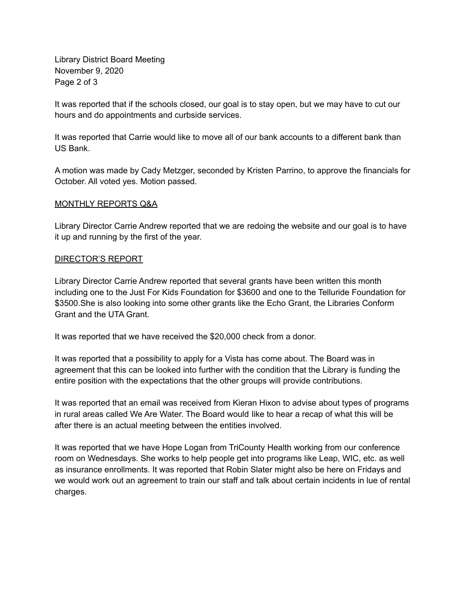Library District Board Meeting November 9, 2020 Page 2 of 3

It was reported that if the schools closed, our goal is to stay open, but we may have to cut our hours and do appointments and curbside services.

It was reported that Carrie would like to move all of our bank accounts to a different bank than US Bank.

A motion was made by Cady Metzger, seconded by Kristen Parrino, to approve the financials for October. All voted yes. Motion passed.

## MONTHLY REPORTS Q&A

Library Director Carrie Andrew reported that we are redoing the website and our goal is to have it up and running by the first of the year.

#### DIRECTOR'S REPORT

Library Director Carrie Andrew reported that several grants have been written this month including one to the Just For Kids Foundation for \$3600 and one to the Telluride Foundation for \$3500.She is also looking into some other grants like the Echo Grant, the Libraries Conform Grant and the UTA Grant.

It was reported that we have received the \$20,000 check from a donor.

It was reported that a possibility to apply for a Vista has come about. The Board was in agreement that this can be looked into further with the condition that the Library is funding the entire position with the expectations that the other groups will provide contributions.

It was reported that an email was received from Kieran Hixon to advise about types of programs in rural areas called We Are Water. The Board would like to hear a recap of what this will be after there is an actual meeting between the entities involved.

It was reported that we have Hope Logan from TriCounty Health working from our conference room on Wednesdays. She works to help people get into programs like Leap, WIC, etc. as well as insurance enrollments. It was reported that Robin Slater might also be here on Fridays and we would work out an agreement to train our staff and talk about certain incidents in lue of rental charges.